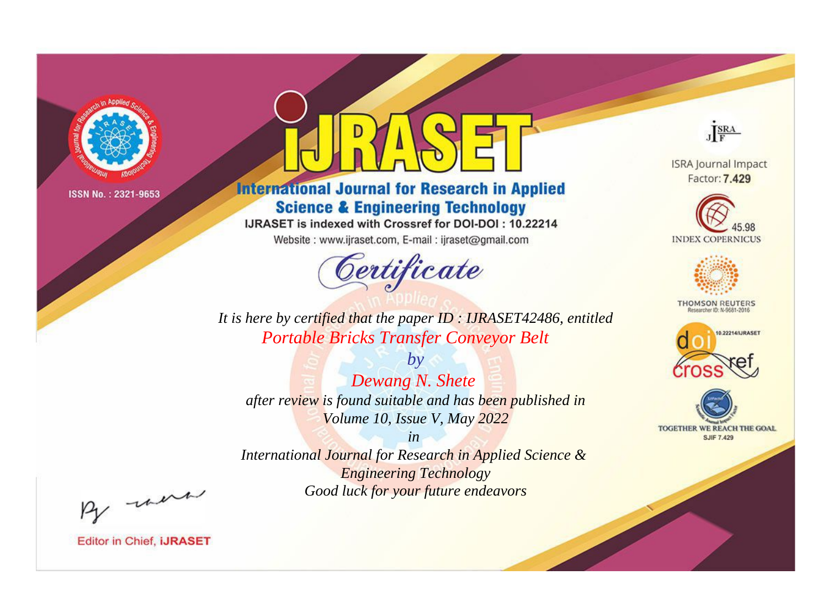

# **International Journal for Research in Applied Science & Engineering Technology**

IJRASET is indexed with Crossref for DOI-DOI: 10.22214

Website: www.ijraset.com, E-mail: ijraset@gmail.com



JERA

**ISRA Journal Impact** Factor: 7.429





**THOMSON REUTERS** 



TOGETHER WE REACH THE GOAL **SJIF 7.429** 

*It is here by certified that the paper ID : IJRASET42486, entitled Portable Bricks Transfer Conveyor Belt*

*by Dewang N. Shete after review is found suitable and has been published in Volume 10, Issue V, May 2022*

*in* 

*International Journal for Research in Applied Science & Engineering Technology Good luck for your future endeavors*

By morn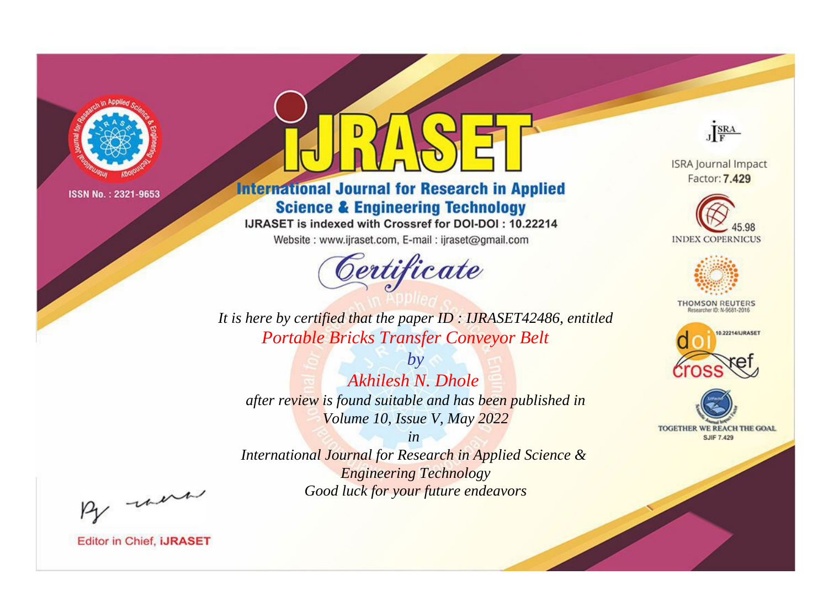

# **International Journal for Research in Applied Science & Engineering Technology**

IJRASET is indexed with Crossref for DOI-DOI: 10.22214

Website: www.ijraset.com, E-mail: ijraset@gmail.com



JERA

**ISRA Journal Impact** Factor: 7.429





**THOMSON REUTERS** 



TOGETHER WE REACH THE GOAL **SJIF 7.429** 

*It is here by certified that the paper ID : IJRASET42486, entitled Portable Bricks Transfer Conveyor Belt*

*by Akhilesh N. Dhole after review is found suitable and has been published in Volume 10, Issue V, May 2022*

*in* 

*International Journal for Research in Applied Science & Engineering Technology Good luck for your future endeavors*

By morn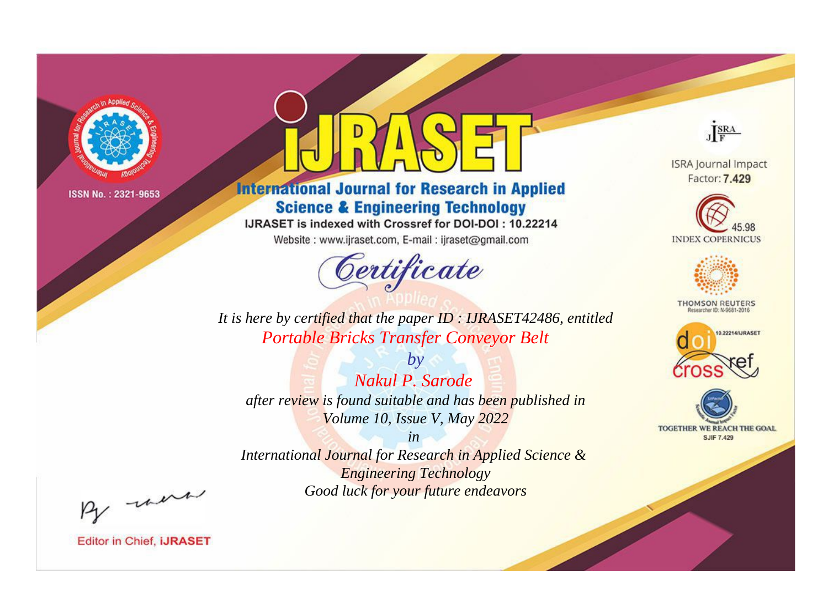

# **International Journal for Research in Applied Science & Engineering Technology**

IJRASET is indexed with Crossref for DOI-DOI: 10.22214

Website: www.ijraset.com, E-mail: ijraset@gmail.com



JERA

**ISRA Journal Impact** Factor: 7.429





**THOMSON REUTERS** 



TOGETHER WE REACH THE GOAL **SJIF 7.429** 

*It is here by certified that the paper ID : IJRASET42486, entitled Portable Bricks Transfer Conveyor Belt*

*by Nakul P. Sarode after review is found suitable and has been published in Volume 10, Issue V, May 2022*

*in* 

*International Journal for Research in Applied Science & Engineering Technology Good luck for your future endeavors*

By morn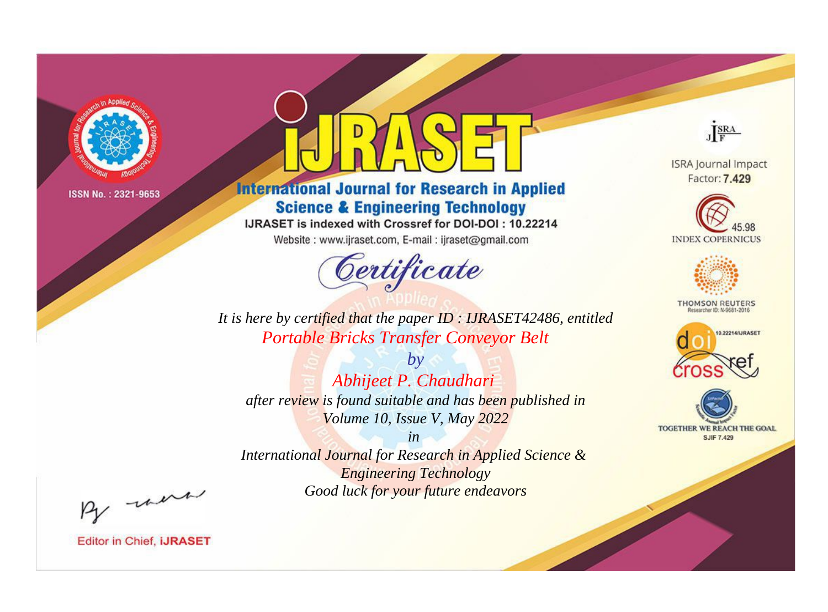

# **International Journal for Research in Applied Science & Engineering Technology**

IJRASET is indexed with Crossref for DOI-DOI: 10.22214

Website: www.ijraset.com, E-mail: ijraset@gmail.com



JERA

**ISRA Journal Impact** Factor: 7.429





**THOMSON REUTERS** 



TOGETHER WE REACH THE GOAL **SJIF 7.429** 

It is here by certified that the paper ID: IJRASET42486, entitled **Portable Bricks Transfer Conveyor Belt** 

 $by$ Abhijeet P. Chaudhari after review is found suitable and has been published in Volume 10, Issue V, May 2022

 $in$ International Journal for Research in Applied Science & **Engineering Technology** Good luck for your future endeavors

By morn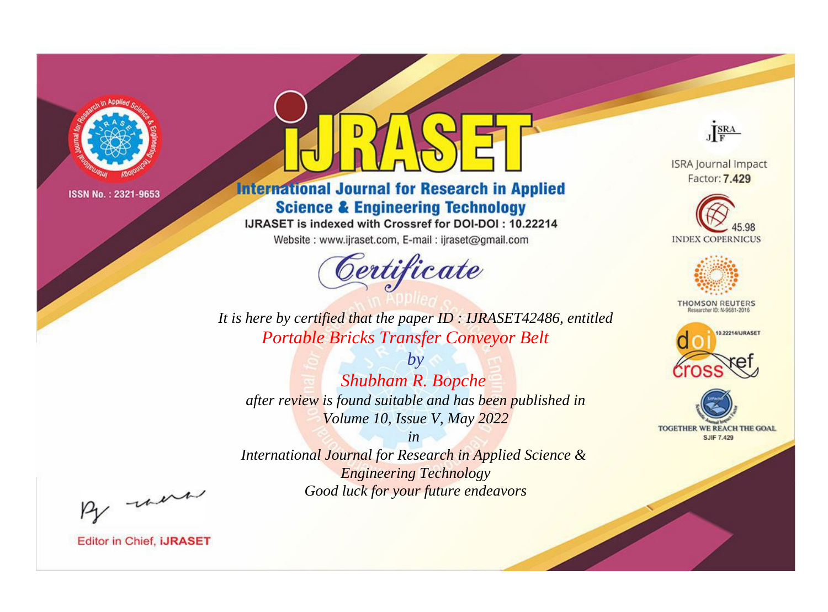

# **International Journal for Research in Applied Science & Engineering Technology**

IJRASET is indexed with Crossref for DOI-DOI: 10.22214

Website: www.ijraset.com, E-mail: ijraset@gmail.com



JERA

**ISRA Journal Impact** Factor: 7.429





**THOMSON REUTERS** 



TOGETHER WE REACH THE GOAL **SJIF 7.429** 

It is here by certified that the paper ID: IJRASET42486, entitled **Portable Bricks Transfer Conveyor Belt** 

 $by$ **Shubham R. Bopche** after review is found suitable and has been published in Volume 10, Issue V, May 2022

 $in$ International Journal for Research in Applied Science & **Engineering Technology** Good luck for your future endeavors

By morn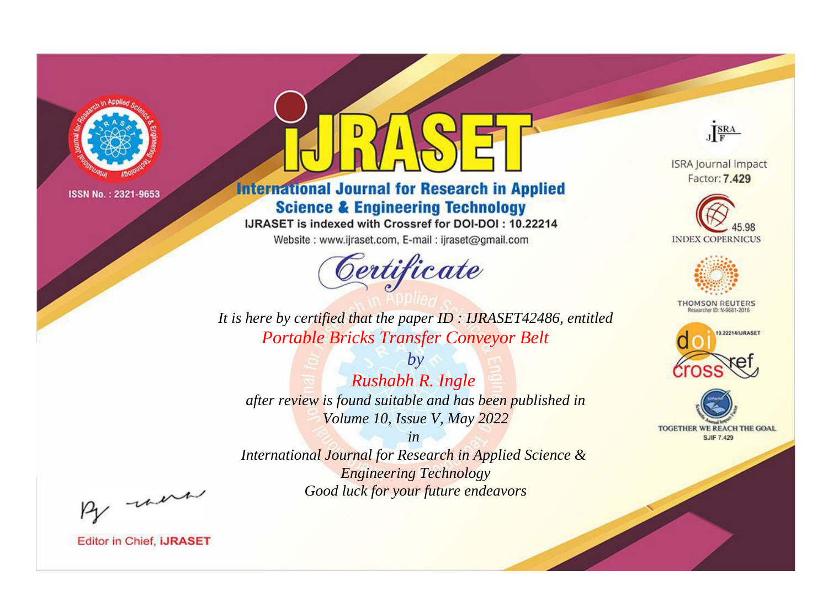

# **International Journal for Research in Applied Science & Engineering Technology**

IJRASET is indexed with Crossref for DOI-DOI: 10.22214

Website: www.ijraset.com, E-mail: ijraset@gmail.com



JERA

**ISRA Journal Impact** Factor: 7.429





**THOMSON REUTERS** 



TOGETHER WE REACH THE GOAL **SJIF 7.429** 

It is here by certified that the paper ID: IJRASET42486, entitled **Portable Bricks Transfer Conveyor Belt** 

 $by$ Rushabh R. Ingle after review is found suitable and has been published in Volume 10, Issue V, May 2022

 $in$ International Journal for Research in Applied Science & **Engineering Technology** Good luck for your future endeavors

By morn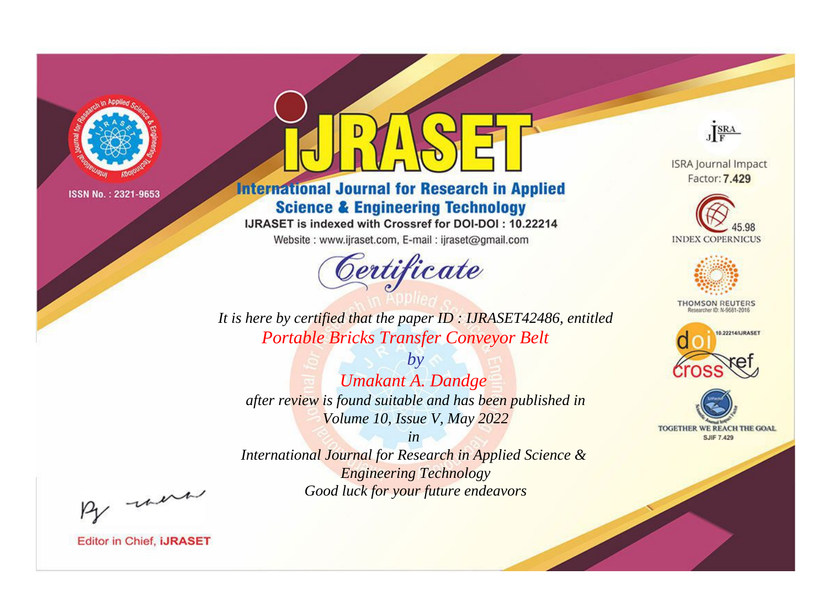

# **International Journal for Research in Applied Science & Engineering Technology**

IJRASET is indexed with Crossref for DOI-DOI: 10.22214

Website: www.ijraset.com, E-mail: ijraset@gmail.com



JERA

**ISRA Journal Impact** Factor: 7.429





**THOMSON REUTERS** 



TOGETHER WE REACH THE GOAL **SJIF 7.429** 

It is here by certified that the paper ID: IJRASET42486, entitled **Portable Bricks Transfer Conveyor Belt** 

 $b\nu$ **Umakant A. Dandge** after review is found suitable and has been published in Volume 10, Issue V, May 2022

 $in$ International Journal for Research in Applied Science & **Engineering Technology** Good luck for your future endeavors

By morn